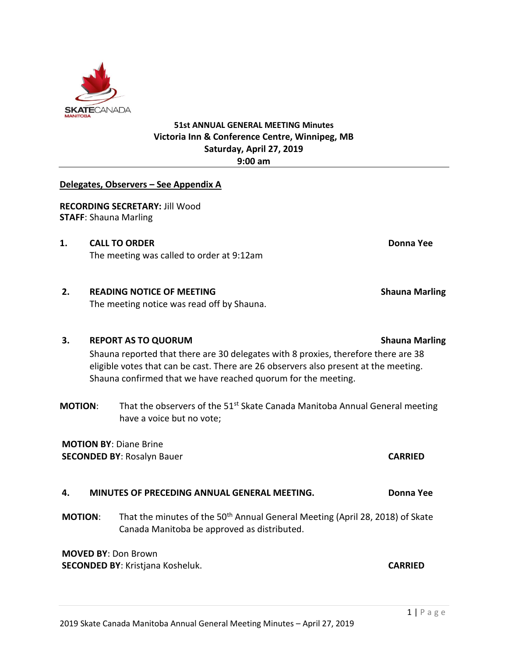#### **51st ANNUAL GENERAL MEETING Minutes Victoria Inn & Conference Centre, Winnipeg, MB Saturday, April 27, 2019 9:00 am**

#### **Delegates, Observers – See Appendix A**

**RECORDING SECRETARY:** Jill Wood **STAFF**: Shauna Marling

**1. CALL TO ORDER Donna Yee** The meeting was called to order at 9:12am

# **2. READING NOTICE OF MEETING Shauna Marling**

The meeting notice was read off by Shauna.

## **3. REPORT AS TO QUORUM Shauna Marling**

Shauna reported that there are 30 delegates with 8 proxies, therefore there are 38 eligible votes that can be cast. There are 26 observers also present at the meeting. Shauna confirmed that we have reached quorum for the meeting.

**MOTION:** That the observers of the 51<sup>st</sup> Skate Canada Manitoba Annual General meeting have a voice but no vote;

### **MOTION BY**: Diane Brine **SECONDED BY**: Rosalyn Bauer **CARRIED**

## **4. MINUTES OF PRECEDING ANNUAL GENERAL MEETING. Donna Yee**

**MOTION:** That the minutes of the 50<sup>th</sup> Annual General Meeting (April 28, 2018) of Skate Canada Manitoba be approved as distributed.

**MOVED BY**: Don Brown **SECONDED BY**: Kristjana Kosheluk. **CARRIED**

 $1 | P \text{age}$ 

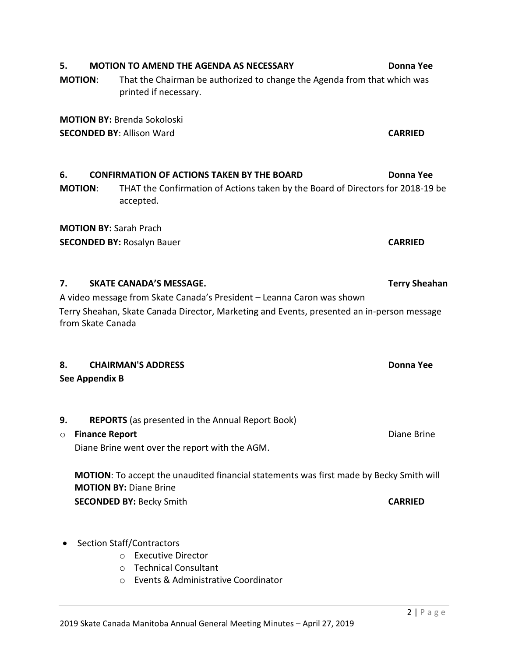# **5. MOTION TO AMEND THE AGENDA AS NECESSARY Donna Yee**

**MOTION**: That the Chairman be authorized to change the Agenda from that which was printed if necessary.

**6. CONFIRMATION OF ACTIONS TAKEN BY THE BOARD Donna Yee MOTION**: THAT the Confirmation of Actions taken by the Board of Directors for 2018-19 be

**MOTION BY:** Brenda Sokoloski

**SECONDED BY**: Allison Ward **CARRIED**

**MOTION BY:** Sarah Prach

accepted.

A video message from Skate Canada's President – Leanna Caron was shown Terry Sheahan, Skate Canada Director, Marketing and Events, presented an in-person message from Skate Canada

## **8. CHAIRMAN'S ADDRESS Donna Yee**

**See Appendix B**

**9. REPORTS** (as presented in the Annual Report Book)

## o **Finance Report** Diane Brine

Diane Brine went over the report with the AGM.

**MOTION**: To accept the unaudited financial statements was first made by Becky Smith will **MOTION BY:** Diane Brine **SECONDED BY:** Becky Smith **CARRIED**

## • Section Staff/Contractors

- o Executive Director
- o Technical Consultant
- o Events & Administrative Coordinator

**SECONDED BY:** Rosalyn Bauer **CARRIED** 

**7. SKATE CANADA'S MESSAGE. Terry Sheahan**

 $2 | P \text{ a ge}$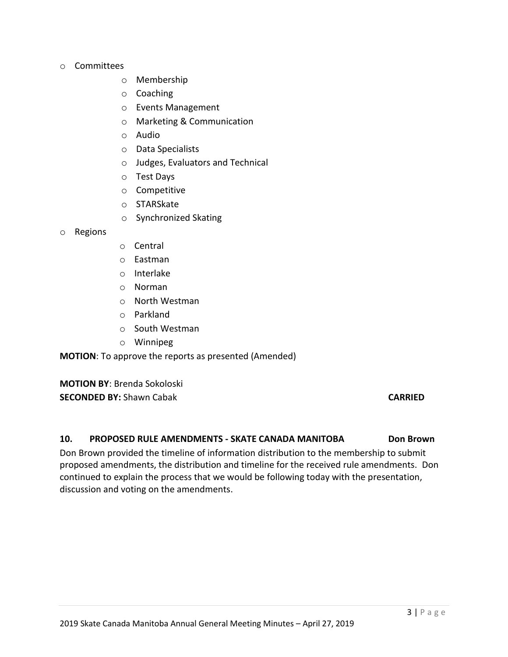#### o Committees

- o Membership
- o Coaching
- o Events Management
- o Marketing & Communication
- o Audio
- o Data Specialists
- o Judges, Evaluators and Technical
- o Test Days
- o Competitive
- o STARSkate
- o Synchronized Skating

#### o Regions

- o Central
- o Eastman
- o Interlake
- o Norman
- o North Westman
- o Parkland
- o South Westman
- o Winnipeg

**MOTION**: To approve the reports as presented (Amended)

**MOTION BY**: Brenda Sokoloski **SECONDED BY:** Shawn Cabak **CARRIED**

#### **10. PROPOSED RULE AMENDMENTS - SKATE CANADA MANITOBA Don Brown**

Don Brown provided the timeline of information distribution to the membership to submit proposed amendments, the distribution and timeline for the received rule amendments. Don continued to explain the process that we would be following today with the presentation, discussion and voting on the amendments.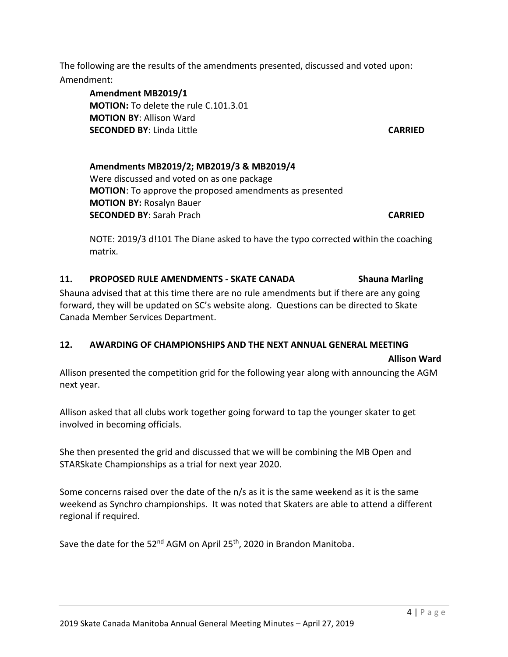The following are the results of the amendments presented, discussed and voted upon: Amendment:

**Amendment MB2019/1 MOTION:** To delete the rule C.101.3.01 **MOTION BY**: Allison Ward **SECONDED BY**: Linda Little **CARRIED**

## **Amendments MB2019/2; MB2019/3 & MB2019/4** Were discussed and voted on as one package **MOTION**: To approve the proposed amendments as presented **MOTION BY:** Rosalyn Bauer **SECONDED BY**: Sarah Prach **CARRIED**

NOTE: 2019/3 d!101 The Diane asked to have the typo corrected within the coaching matrix.

## **11. PROPOSED RULE AMENDMENTS - SKATE CANADA Shauna Marling**

Shauna advised that at this time there are no rule amendments but if there are any going forward, they will be updated on SC's website along. Questions can be directed to Skate Canada Member Services Department.

### **12. AWARDING OF CHAMPIONSHIPS AND THE NEXT ANNUAL GENERAL MEETING**

#### **Allison Ward**

Allison presented the competition grid for the following year along with announcing the AGM next year.

Allison asked that all clubs work together going forward to tap the younger skater to get involved in becoming officials.

She then presented the grid and discussed that we will be combining the MB Open and STARSkate Championships as a trial for next year 2020.

Some concerns raised over the date of the n/s as it is the same weekend as it is the same weekend as Synchro championships. It was noted that Skaters are able to attend a different regional if required.

Save the date for the 52<sup>nd</sup> AGM on April 25<sup>th</sup>, 2020 in Brandon Manitoba.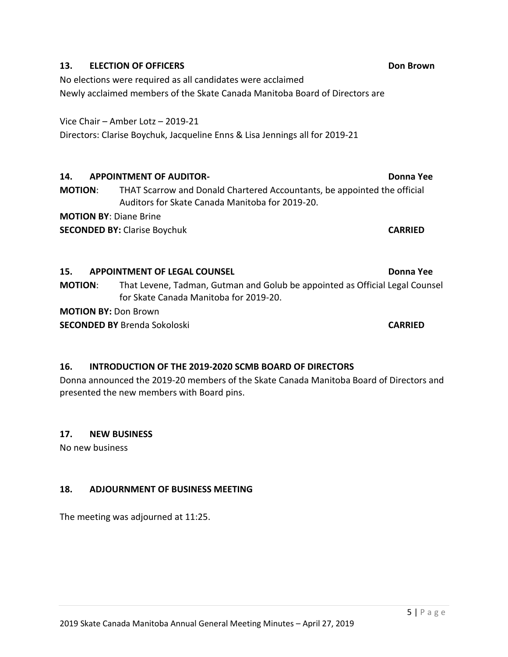#### **13. ELECTION OF OFFICERS Don Brown**

No elections were required as all candidates were acclaimed Newly acclaimed members of the Skate Canada Manitoba Board of Directors are

Vice Chair – Amber Lotz – 2019-21

Directors: Clarise Boychuk, Jacqueline Enns & Lisa Jennings all for 2019-21

## **14. APPOINTMENT OF AUDITOR- Donna Yee**

**MOTION**: THAT Scarrow and Donald Chartered Accountants, be appointed the official Auditors for Skate Canada Manitoba for 2019-20.

**MOTION BY**: Diane Brine

**SECONDED BY:** Clarise Boychuk **CARRIED**

## **15. APPOINTMENT OF LEGAL COUNSEL Donna Yee**

**MOTION**: That Levene, Tadman, Gutman and Golub be appointed as Official Legal Counsel for Skate Canada Manitoba for 2019-20.

**MOTION BY:** Don Brown

**SECONDED BY** Brenda Sokoloski **CARRIED**

## **16. INTRODUCTION OF THE 2019-2020 SCMB BOARD OF DIRECTORS**

Donna announced the 2019-20 members of the Skate Canada Manitoba Board of Directors and presented the new members with Board pins.

## **17. NEW BUSINESS**

No new business

## **18. ADJOURNMENT OF BUSINESS MEETING**

The meeting was adjourned at 11:25.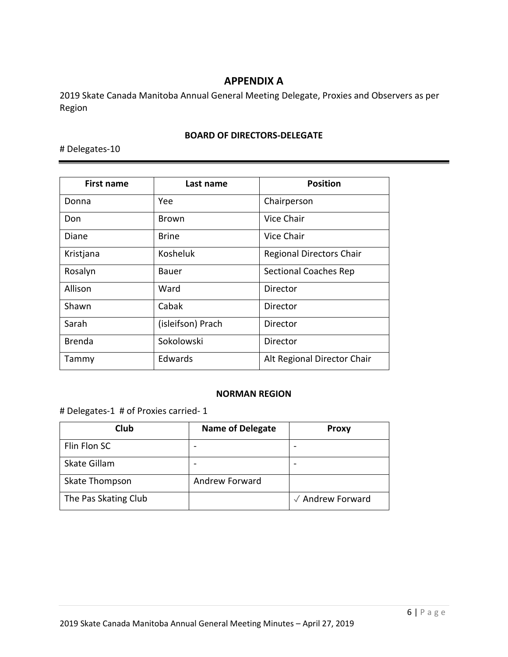## **APPENDIX A**

2019 Skate Canada Manitoba Annual General Meeting Delegate, Proxies and Observers as per Region

#### **BOARD OF DIRECTORS-DELEGATE**

# Delegates-10

| First name    | Last name         | <b>Position</b>                 |
|---------------|-------------------|---------------------------------|
| Donna         | Yee               | Chairperson                     |
| Don           | Brown             | Vice Chair                      |
| Diane         | <b>Brine</b>      | Vice Chair                      |
| Kristjana     | Kosheluk          | <b>Regional Directors Chair</b> |
| Rosalyn       | Bauer             | <b>Sectional Coaches Rep</b>    |
| Allison       | Ward              | Director                        |
| Shawn         | Cabak             | Director                        |
| Sarah         | (isleifson) Prach | Director                        |
| <b>Brenda</b> | Sokolowski        | Director                        |
| Tammy         | Edwards           | Alt Regional Director Chair     |

#### **NORMAN REGION**

# Delegates-1 # of Proxies carried- 1

| Club                 | <b>Name of Delegate</b> | <b>Proxy</b>     |
|----------------------|-------------------------|------------------|
| Flin Flon SC         |                         |                  |
| Skate Gillam         |                         |                  |
| Skate Thompson       | Andrew Forward          |                  |
| The Pas Skating Club |                         | √ Andrew Forward |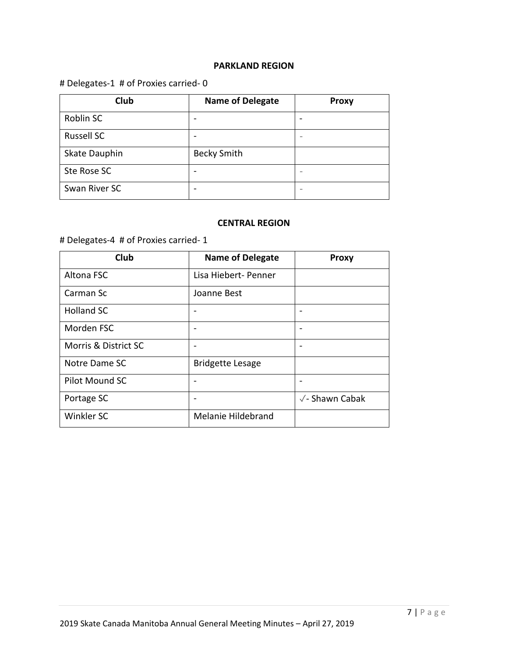#### **PARKLAND REGION**

## # Delegates-1 # of Proxies carried- 0

| <b>Club</b>       | <b>Name of Delegate</b> | <b>Proxy</b>             |
|-------------------|-------------------------|--------------------------|
| Roblin SC         |                         | -                        |
| <b>Russell SC</b> |                         |                          |
| Skate Dauphin     | <b>Becky Smith</b>      |                          |
| Ste Rose SC       |                         |                          |
| Swan River SC     |                         | $\overline{\phantom{a}}$ |

#### **CENTRAL REGION**

# Delegates-4 # of Proxies carried- 1

| Club                 | <b>Name of Delegate</b> | <b>Proxy</b>              |
|----------------------|-------------------------|---------------------------|
| Altona FSC           | Lisa Hiebert- Penner    |                           |
| Carman Sc            | Joanne Best             |                           |
| <b>Holland SC</b>    |                         |                           |
| Morden FSC           |                         |                           |
| Morris & District SC |                         |                           |
| Notre Dame SC        | <b>Bridgette Lesage</b> |                           |
| Pilot Mound SC       |                         |                           |
| Portage SC           |                         | $\sqrt{\ }$ - Shawn Cabak |
| Winkler SC           | Melanie Hildebrand      |                           |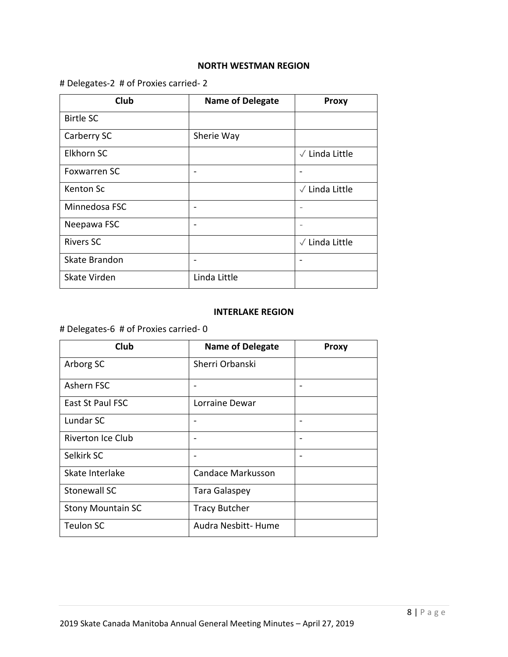#### **NORTH WESTMAN REGION**

## # Delegates-2 # of Proxies carried- 2

| Club                | <b>Name of Delegate</b> | <b>Proxy</b>             |
|---------------------|-------------------------|--------------------------|
| <b>Birtle SC</b>    |                         |                          |
| Carberry SC         | Sherie Way              |                          |
| Elkhorn SC          |                         | $\sqrt{}$ Linda Little   |
| <b>Foxwarren SC</b> |                         | ٠                        |
| Kenton Sc           |                         | $\sqrt{}$ Linda Little   |
| Minnedosa FSC       |                         | $\overline{\phantom{0}}$ |
| Neepawa FSC         |                         | $\overline{\phantom{0}}$ |
| <b>Rivers SC</b>    |                         | $\sqrt{}$ Linda Little   |
| Skate Brandon       |                         | -                        |
| Skate Virden        | Linda Little            |                          |

#### **INTERLAKE REGION**

# Delegates-6 # of Proxies carried- 0

| Club                     | <b>Name of Delegate</b> | <b>Proxy</b>             |
|--------------------------|-------------------------|--------------------------|
| Arborg SC                | Sherri Orbanski         |                          |
| Ashern FSC               |                         |                          |
| East St Paul FSC         | Lorraine Dewar          |                          |
| Lundar SC                |                         |                          |
| Riverton Ice Club        |                         | $\overline{\phantom{0}}$ |
| Selkirk SC               |                         | $\overline{\phantom{0}}$ |
| Skate Interlake          | Candace Markusson       |                          |
| <b>Stonewall SC</b>      | <b>Tara Galaspey</b>    |                          |
| <b>Stony Mountain SC</b> | <b>Tracy Butcher</b>    |                          |
| <b>Teulon SC</b>         | Audra Nesbitt-Hume      |                          |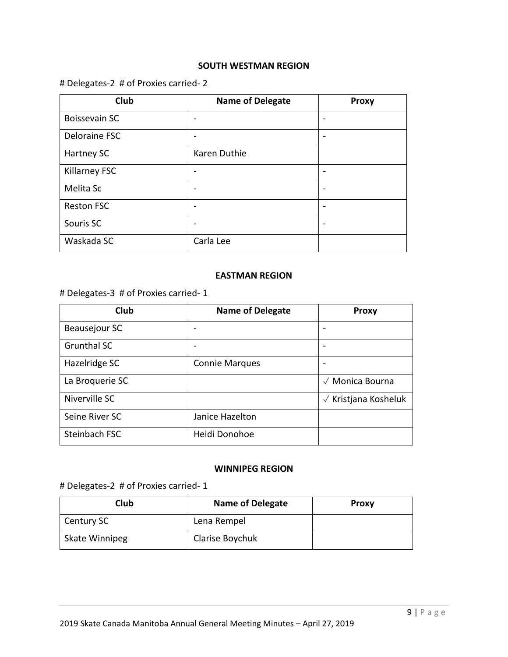#### **SOUTH WESTMAN REGION**

## # Delegates-2 # of Proxies carried- 2

| Club                 | <b>Name of Delegate</b> | <b>Proxy</b> |
|----------------------|-------------------------|--------------|
| <b>Boissevain SC</b> |                         |              |
| Deloraine FSC        |                         |              |
| Hartney SC           | Karen Duthie            |              |
| <b>Killarney FSC</b> |                         |              |
| Melita Sc            |                         |              |
| <b>Reston FSC</b>    |                         |              |
| Souris SC            |                         |              |
| Waskada SC           | Carla Lee               |              |

#### **EASTMAN REGION**

# Delegates-3 # of Proxies carried- 1

| Club               | <b>Name of Delegate</b> | <b>Proxy</b>                       |
|--------------------|-------------------------|------------------------------------|
| Beausejour SC      |                         |                                    |
| <b>Grunthal SC</b> |                         |                                    |
| Hazelridge SC      | <b>Connie Marques</b>   |                                    |
| La Broquerie SC    |                         | $\sqrt{\phantom{a}}$ Monica Bourna |
| Niverville SC      |                         | $\sqrt{}$ Kristjana Kosheluk       |
| Seine River SC     | Janice Hazelton         |                                    |
| Steinbach FSC      | Heidi Donohoe           |                                    |

#### **WINNIPEG REGION**

# Delegates-2 # of Proxies carried- 1

| Club                  | <b>Name of Delegate</b> | <b>Proxy</b> |
|-----------------------|-------------------------|--------------|
| Century SC            | Lena Rempel             |              |
| <b>Skate Winnipeg</b> | Clarise Boychuk         |              |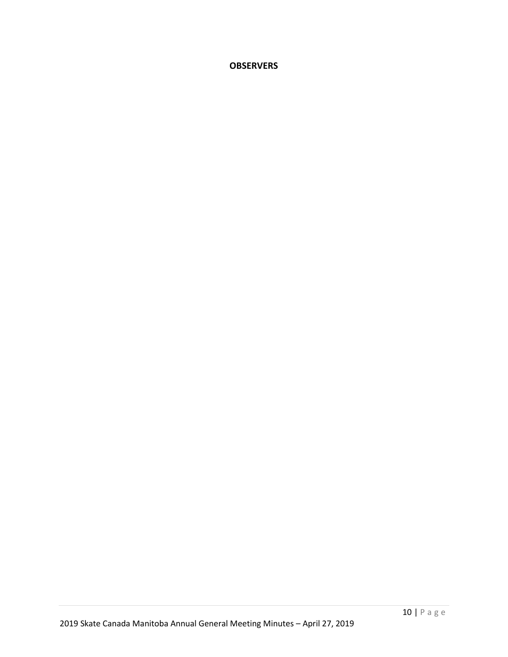## **OBSERVERS**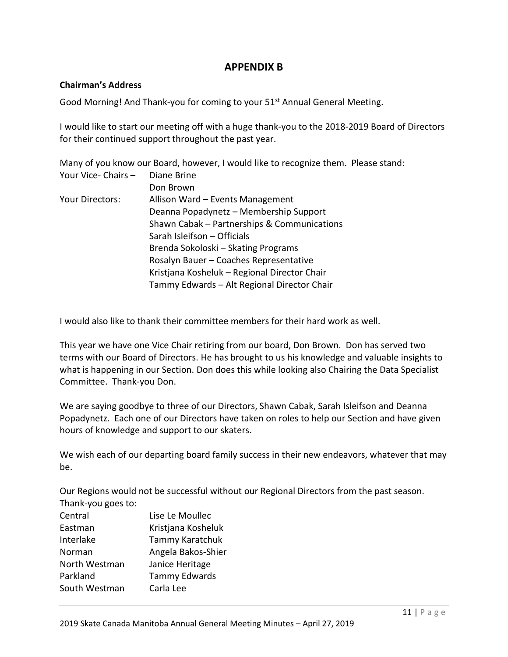## **APPENDIX B**

#### **Chairman's Address**

Good Morning! And Thank-you for coming to your 51<sup>st</sup> Annual General Meeting.

I would like to start our meeting off with a huge thank-you to the 2018-2019 Board of Directors for their continued support throughout the past year.

Many of you know our Board, however, I would like to recognize them. Please stand: Your Vice- Chairs – Diane Brine Don Brown Your Directors: Allison Ward – Events Management

| Deanna Popadynetz - Membership Support       |
|----------------------------------------------|
| Shawn Cabak - Partnerships & Communications  |
| Sarah Isleifson - Officials                  |
| Brenda Sokoloski – Skating Programs          |
| Rosalyn Bauer - Coaches Representative       |
| Kristjana Kosheluk – Regional Director Chair |
| Tammy Edwards - Alt Regional Director Chair  |

I would also like to thank their committee members for their hard work as well.

This year we have one Vice Chair retiring from our board, Don Brown. Don has served two terms with our Board of Directors. He has brought to us his knowledge and valuable insights to what is happening in our Section. Don does this while looking also Chairing the Data Specialist Committee. Thank-you Don.

We are saying goodbye to three of our Directors, Shawn Cabak, Sarah Isleifson and Deanna Popadynetz. Each one of our Directors have taken on roles to help our Section and have given hours of knowledge and support to our skaters.

We wish each of our departing board family success in their new endeavors, whatever that may be.

Our Regions would not be successful without our Regional Directors from the past season. Thank-you goes to:

| Central       | Lise Le Moullec      |
|---------------|----------------------|
| Eastman       | Kristjana Kosheluk   |
| Interlake     | Tammy Karatchuk      |
| Norman        | Angela Bakos-Shier   |
| North Westman | Janice Heritage      |
| Parkland      | <b>Tammy Edwards</b> |
| South Westman | Carla Lee            |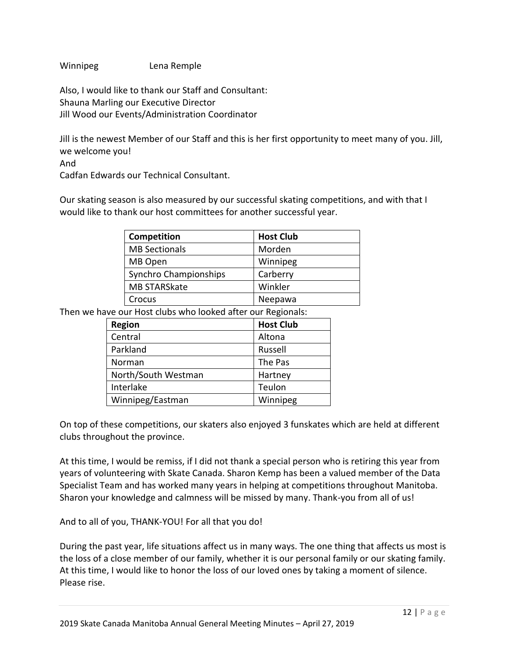Winnipeg Lena Remple

Also, I would like to thank our Staff and Consultant: Shauna Marling our Executive Director Jill Wood our Events/Administration Coordinator

Jill is the newest Member of our Staff and this is her first opportunity to meet many of you. Jill, we welcome you!

And

Cadfan Edwards our Technical Consultant.

Our skating season is also measured by our successful skating competitions, and with that I would like to thank our host committees for another successful year.

| Competition           | <b>Host Club</b> |
|-----------------------|------------------|
| <b>MB Sectionals</b>  | Morden           |
| MB Open               | Winnipeg         |
| Synchro Championships | Carberry         |
| <b>MB STARSkate</b>   | Winkler          |
| Crocus                | Neepawa          |

Then we have our Host clubs who looked after our Regionals:

| <b>Region</b>       | <b>Host Club</b> |
|---------------------|------------------|
| Central             | Altona           |
| Parkland            | Russell          |
| Norman              | The Pas          |
| North/South Westman | Hartney          |
| Interlake           | Teulon           |
| Winnipeg/Eastman    | Winnipeg         |

On top of these competitions, our skaters also enjoyed 3 funskates which are held at different clubs throughout the province.

At this time, I would be remiss, if I did not thank a special person who is retiring this year from years of volunteering with Skate Canada. Sharon Kemp has been a valued member of the Data Specialist Team and has worked many years in helping at competitions throughout Manitoba. Sharon your knowledge and calmness will be missed by many. Thank-you from all of us!

And to all of you, THANK-YOU! For all that you do!

During the past year, life situations affect us in many ways. The one thing that affects us most is the loss of a close member of our family, whether it is our personal family or our skating family. At this time, I would like to honor the loss of our loved ones by taking a moment of silence. Please rise.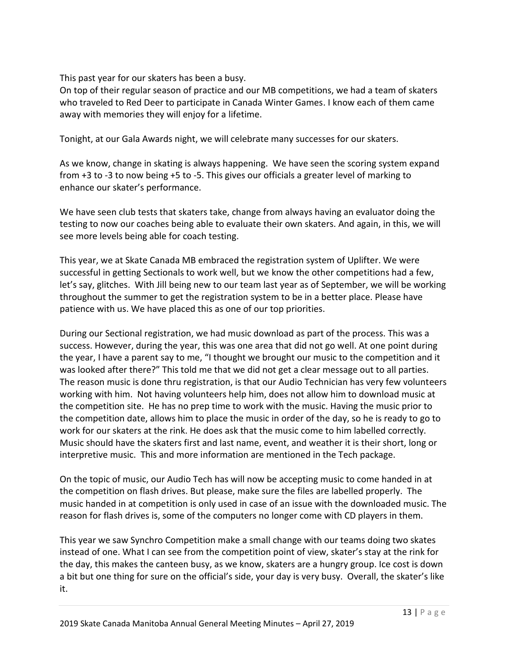This past year for our skaters has been a busy.

On top of their regular season of practice and our MB competitions, we had a team of skaters who traveled to Red Deer to participate in Canada Winter Games. I know each of them came away with memories they will enjoy for a lifetime.

Tonight, at our Gala Awards night, we will celebrate many successes for our skaters.

As we know, change in skating is always happening. We have seen the scoring system expand from +3 to -3 to now being +5 to -5. This gives our officials a greater level of marking to enhance our skater's performance.

We have seen club tests that skaters take, change from always having an evaluator doing the testing to now our coaches being able to evaluate their own skaters. And again, in this, we will see more levels being able for coach testing.

This year, we at Skate Canada MB embraced the registration system of Uplifter. We were successful in getting Sectionals to work well, but we know the other competitions had a few, let's say, glitches. With Jill being new to our team last year as of September, we will be working throughout the summer to get the registration system to be in a better place. Please have patience with us. We have placed this as one of our top priorities.

During our Sectional registration, we had music download as part of the process. This was a success. However, during the year, this was one area that did not go well. At one point during the year, I have a parent say to me, "I thought we brought our music to the competition and it was looked after there?" This told me that we did not get a clear message out to all parties. The reason music is done thru registration, is that our Audio Technician has very few volunteers working with him. Not having volunteers help him, does not allow him to download music at the competition site. He has no prep time to work with the music. Having the music prior to the competition date, allows him to place the music in order of the day, so he is ready to go to work for our skaters at the rink. He does ask that the music come to him labelled correctly. Music should have the skaters first and last name, event, and weather it is their short, long or interpretive music. This and more information are mentioned in the Tech package.

On the topic of music, our Audio Tech has will now be accepting music to come handed in at the competition on flash drives. But please, make sure the files are labelled properly. The music handed in at competition is only used in case of an issue with the downloaded music. The reason for flash drives is, some of the computers no longer come with CD players in them.

This year we saw Synchro Competition make a small change with our teams doing two skates instead of one. What I can see from the competition point of view, skater's stay at the rink for the day, this makes the canteen busy, as we know, skaters are a hungry group. Ice cost is down a bit but one thing for sure on the official's side, your day is very busy. Overall, the skater's like it.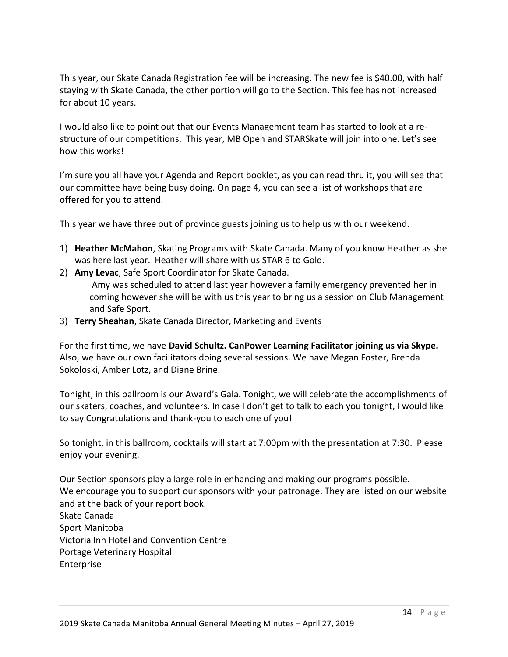This year, our Skate Canada Registration fee will be increasing. The new fee is \$40.00, with half staying with Skate Canada, the other portion will go to the Section. This fee has not increased for about 10 years.

I would also like to point out that our Events Management team has started to look at a restructure of our competitions. This year, MB Open and STARSkate will join into one. Let's see how this works!

I'm sure you all have your Agenda and Report booklet, as you can read thru it, you will see that our committee have being busy doing. On page 4, you can see a list of workshops that are offered for you to attend.

This year we have three out of province guests joining us to help us with our weekend.

- 1) **Heather McMahon**, Skating Programs with Skate Canada. Many of you know Heather as she was here last year. Heather will share with us STAR 6 to Gold.
- 2) **Amy Levac**, Safe Sport Coordinator for Skate Canada. Amy was scheduled to attend last year however a family emergency prevented her in coming however she will be with us this year to bring us a session on Club Management and Safe Sport.
- 3) **Terry Sheahan**, Skate Canada Director, Marketing and Events

For the first time, we have **David Schultz. CanPower Learning Facilitator joining us via Skype.**  Also, we have our own facilitators doing several sessions. We have Megan Foster, Brenda Sokoloski, Amber Lotz, and Diane Brine.

Tonight, in this ballroom is our Award's Gala. Tonight, we will celebrate the accomplishments of our skaters, coaches, and volunteers. In case I don't get to talk to each you tonight, I would like to say Congratulations and thank-you to each one of you!

So tonight, in this ballroom, cocktails will start at 7:00pm with the presentation at 7:30. Please enjoy your evening.

Our Section sponsors play a large role in enhancing and making our programs possible. We encourage you to support our sponsors with your patronage. They are listed on our website and at the back of your report book. Skate Canada Sport Manitoba Victoria Inn Hotel and Convention Centre Portage Veterinary Hospital

Enterprise